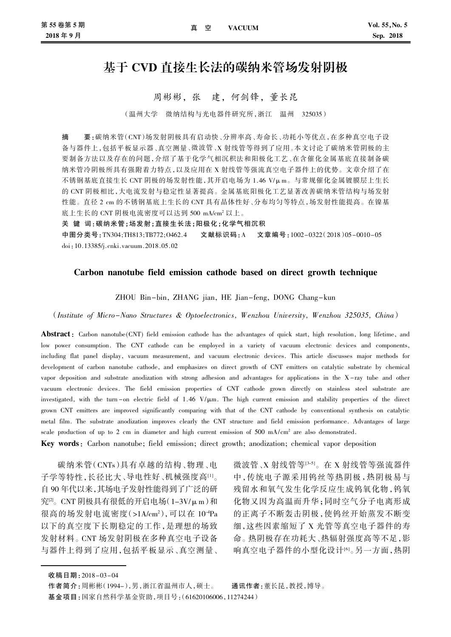# 基于 CVD 直接生长法的碳纳米管场发射阴极

周彬彬,张 建,何剑锋,董长昆

(温州大学 微纳结构与光电器件研究所,浙江 温州 325035)

摘 要:碳纳米管(CNT)场发射阴极具有启动快、分辨率高、寿命长、功耗小等优点,在多种真空电子设 备与器件上,包括平板显示器、真空测量、微波管、X 射线管等得到了应用。本文讨论了碳纳米管阴极的主 要制备方法以及存在的问题,介绍了基于化学气相沉积法和阳极化工艺、在含催化金属基底直接制备碳 纳米管冷阴极所具有强附着力特点,以及应用在 X 射线管等强流真空电子器件上的优势。文章介绍了在 不锈钢基底直接生长 CNT 阴极的场发射性能,其开启电场为 1.46 V/μm。与常规催化金属镀膜层上生长 的 CNT 阴极相比,大电流发射与稳定性显著提高。金属基底阳极化工艺显著改善碳纳米管结构与场发射 性能。直径 2 cm 的不锈钢基底上生长的 CNT 具有晶体性好、分布均匀等特点,场发射性能提高。在镍基 底上生长的 CNT 阴极电流密度可以达到 500 mA/cm2 以上。

关 键 词:碳纳米管;场发射;直接生长法;阳极化;化学气相沉积

中图分类号:TN304;TH813;TB772;O462.4 文献标识码:A 文章编号:1002-0322(2018)05-0010-05 doi:10.13385/j.cnki.vacuum.2018.05.02

### Carbon nanotube field emission cathode based on direct growth technique

ZHOU Bin-bin, ZHANG jian, HE Jian-feng, DONG Chang-kun

(Institute of Micro-Nano Structures & Optoelectronics, W enzhou University, W enzhou 325035, China)

Abstract: Carbon nanotube(CNT) field emission cathode has the advantages of quick start, high resolution, long lifetime, and low power consumption. The CNT cathode can be employed in a variety of vacuum electronic devices and components, including flat panel display, vacuum measurement, and vacuum electronic devices. This article discusses major methods for development of carbon nanotube cathode, and emphasizes on direct growth of CNT emitters on catalytic substrate by chemical vapor deposition and substrate anodization with strong adhesion and advantages for applications in the  $X$ -ray tube and other vacuum electronic devices. The field emission properties of CNT cathode grown directly on stainless steel substrate are investigated, with the turn-on electric field of  $1.46 V/\mu m$ . The high current emission and stability properties of the direct grown CNT emitters are improved significantly comparing with that of the CNT cathode by conventional synthesis on catalytic metal film. The substrate anodization improves clearly the CNT structure and field emission performance. Advantages of large scale production of up to 2 cm in diameter and high current emission of 500 mA/cm<sup>2</sup> are also demonstrated.

Key words:Carbon nanotube; field emission; direct growth; anodization; chemical vapor deposition

碳纳米管(CNTs)具有卓越的结构、物理、电 子学等特性,长径比大、导电性好、机械强度高[1]。 自 90 年代以来,其场电子发射性能得到了广泛的研 究<sup>[2]</sup>。CNT 阴极具有很低的开启电场(1-3V/μm)和 很高的场发射电流密度(>1A/cm<sup>2</sup>),可以在 10<sup>-4</sup>Pa 以下的真空度下长期稳定的工作,是理想的场致 发射材料。CNT 场发射阴极在多种真空电子设备 与器件上得到了应用,包括平板显示、真空测量、 微波管、X 射线管等[3-5]。在 X 射线管等强流器件 中,传统电子源采用钨丝等热阴极,热阴极易与 残留水和氧气发生化学反应生成钨氧化物,钨氧 化物又因为高温而升华;同时空气分子电离形成 的正离子不断轰击阴极,使钨丝开始蒸发不断变 细,这些因素缩短了 X 光管等真空电子器件的寿 命。热阴极存在功耗大、热辐射强度高等不足,影 响真空电子器件的小型化设计[6]。另一方面,热阴

收稿日期:2018-03-04

作者简介:周彬彬(1994-),男,浙江省温州市人,硕士。 通讯作者:董长昆,教授,博导。

基金项目:国家自然科学基金资助,项目号:(61620106006,11274244)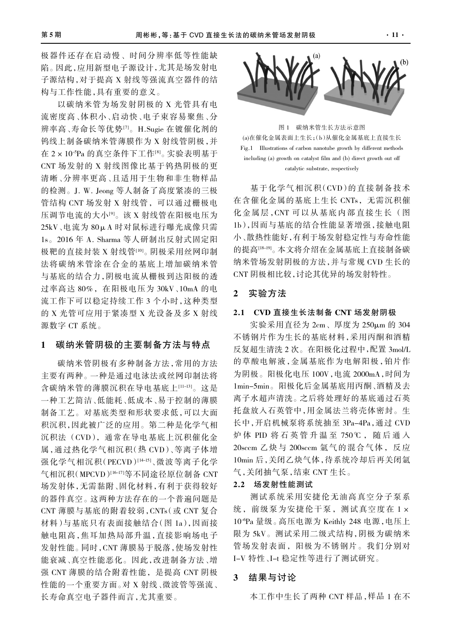极器件还存在启动慢、时间分辨率低等性能缺 陷。因此,应用新型电子源设计,尤其是场发射电 子源结构,对于提高 X 射线等强流真空器件的结 构与工作性能,具有重要的意义。

以碳纳米管为场发射阴极的 X 光管具有电 流密度高、体积小、启动快、电子束容易聚焦、分 辨率高、寿命长等优势[7]。H.Sugie 在镀催化剂的 钨线上制备碳纳米管薄膜作为 X 射线管阴极,并 在 2×10-5Pa 的真空条件下工作[8]。实验表明基于 CNT 场发射的 X 射线图像比基于钨热阴极的更 清晰、分辨率更高、且适用于生物和非生物样品 的检测。J. W. Jeong 等人制备了高度紧凑的三极 管结构 CNT 场发射 X 射线管,可以通过栅极电 压调节电流的大小[9]。该 X 射线管在阳极电压为 25kV、电流为 80μA 时对鼠标进行曝光成像只需 1s。2016 年 A. Sharma 等人研制出反射式固定阳 极靶的直接封装 X 射线管[10]。阴极采用丝网印制 法将碳纳米管涂在合金的基底上增加碳纳米管 与基底的结合力,阴极电流从栅极到达阳极的透 过率高达 80%,在阳极电压为 30kV、10mA 的电 流工作下可以稳定持续工作 3 个小时,这种类型 的 X 光管可应用于紧凑型 X 光设备及多 X 射线 源数字 CT 系统。

## 1 碳纳米管阴极的主要制备方法与特点

碳纳米管阴极有多种制备方法,常用的方法 主要有两种。一种是通过电泳法或丝网印制法将 含碳纳米管的薄膜沉积在导电基底上[11-13]。这是 一种工艺简洁、低能耗、低成本、易于控制的薄膜 制备工艺。对基底类型和形状要求低,可以大面 积沉积,因此被广泛的应用。第二种是化学气相 沉积法 (CVD),通常在导电基底上沉积催化金 属,通过热化学气相沉积(热 CVD)、等离子体增 强化学气相沉积(PECVD)[14-15]、微波等离子化学 气相沉积(MPCVD)[16-17]等不同途径原位制备 CNT 场发射体,无需黏附、固化材料,有利于获得较好 的器件真空。这两种方法存在的一个普遍问题是 CNT 薄膜与基底的附着较弱,CNTs(或 CNT 复合 材料)与基底只有表面接触结合(图 1a),因而接 触电阻高,焦耳加热局部升温,直接影响场电子 发射性能。同时,CNT 薄膜易于脱落,使场发射性 能衰减、真空性能恶化。因此,改进制备方法、增 强 CNT 薄膜的结合附着性能,是提高 CNT 阴极 性能的一个重要方面。对 X 射线、微波管等强流、 长寿命真空电子器件而言,尤其重要。



图 1 碳纳米管生长方法示意图 (a)在催化金属表面上生长;(b)从催化金属基底上直接生长 Fig.1 Illustrations of carbon nanotube growth by different methods including (a) growth on catalyst film and (b) direct growth out off catalytic substrate, respectively

基于化学气相沉积(CVD)的直接制备技术 在含催化金属的基底上生长 CNTs, 无需沉积催 化金属层,CNT 可以从基底内部 直接生长 (图 1b),因而与基底的结合性能显著增强,接触电阻 小、散热性能好,有利于场发射稳定性与寿命性能 的提高[18-19]。本文将介绍在金属基底上直接制备碳 纳米管场发射阴极的方法,并与常规 CVD 生长的 CNT 阴极相比较,讨论其优异的场发射特性。

# 2 实验方法

## 2.1 CVD 直接生长法制备 CNT 场发射阴极

实验采用直径为  $2$ cm、厚度为  $250$ μm 的 304 不锈钢片作为生长的基底材料,采用丙酮和酒精 反复超生清洗 2 次。在阳极化过程中,配置 3mol/L 的草酸电解液,金属基底作为电解阳极,铂片作 为阴极。阳极化电压 100V,电流 2000mA,时间为 1min-5min。阳极化后金属基底用丙酮、酒精及去 离子水超声清洗。之后将处理好的基底通过石英 托盘放入石英管中,用金属法兰将壳体密封。生 长中,开启机械泵将系统抽至 3Pa-4Pa,通过 CVD 炉 体 PID 将 石 英 管 升 温 至 750℃ , 随 后 通 入 20sccm 乙炔与 200sccm 氩气的混合气体,反应 10min 后,关闭乙炔气体,待系统冷却后再关闭氩 气,关闭抽气泵,结束 CNT 生长。

# 2.2 场发射性能测试

测试系统采用安捷伦无油高真空分子泵系 统,前级泵为安捷伦干泵,测试真空度在 1× 10-6Pa 量级。高压电源为 Keithly 248 电源,电压上 限为 5kV。测试采用二级式结构,阴极为碳纳米 管场发射表面,阳极为不锈钢片。我们分别对 I-V 特性、I-t 稳定性等进行了测试研究。

### 3 结果与讨论

本工作中生长了两种 CNT 样品,样品 1 在不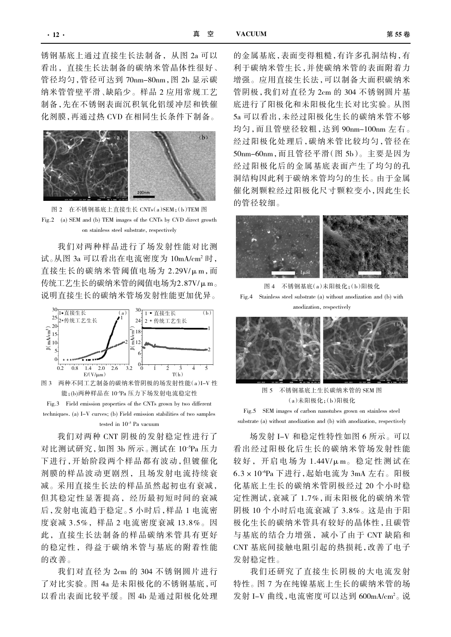锈钢基底上通过直接生长法制备,从图 2a 可以 看出,直接生长法制备的碳纳米管晶体性很好、 管径均匀,管径可达到 70nm-80nm,图 2b 显示碳 纳米管管壁平滑、缺陷少。样品 2 应用常规工艺 制备,先在不锈钢表面沉积氧化铝缓冲层和铁催 化剂膜,再通过热 CVD 在相同生长条件下制备。



图 2 在不锈钢基底上直接生长 CNTs(a)SEM;(b)TEM 图 Fig.2 (a) SEM and (b) TEM images of the CNTs by CVD direct growth on stainless steel substrate, respectively

我们对两种样品进行了场发射性能对比测 试。从图 3a 可以看出在电流密度为 10mA/cm2 时, 直接生长的碳纳米管阈值电场为 2.29V/μm,而 传统工艺生长的碳纳米管的阈值电场为2.87V/μm。 说明直接生长的碳纳米管场发射性能更加优异。



Fig.3 Field emission properties of the CNTs grown by two different techniques. (a) I-V curves; (b) Field emission stabilities of two samples tested in 10-5 Pa vacuum

我们对两种 CNT 阴极的发射稳定性进行了 对比测试研究,如图 3b 所示。测试在 10<sup>-5</sup>Pa 压力 下进行,开始阶段两个样品都有波动,但镀催化 剂膜的样品波动更剧烈,且场发射电流持续衰 减。采用直接生长法的样品虽然起初也有衰减, 但其稳定性显著提高,经历最初短时间的衰减 后,发射电流趋于稳定。5 小时后,样品 1 电流密 度衰减 3.5%,样品 2 电流密度衰减 13.8%。因 此,直接生长法制备的样品碳纳米管具有更好 的稳定性,得益于碳纳米管与基底的附着性能 的改善。

我们对直径为 2cm 的 304 不锈钢圆片进行 了对比实验。图 4a 是未阳极化的不锈钢基底,可 以看出表面比较平缓。图 4b 是通过阳极化处理 的金属基底,表面变得粗糙,有许多孔洞结构,有 利于碳纳米管生长,并使碳纳米管的表面附着力 增强。应用直接生长法,可以制备大面积碳纳米 管阴极,我们对直径为 2cm 的 304 不锈钢圆片基 底进行了阳极化和未阳极化生长对比实验。从图 5a 可以看出,未经过阳极化生长的碳纳米管不够 均匀,而且管壁径较粗,达到 90nm-100nm 左右。 经过阳极化处理后,碳纳米管比较均匀,管径在 50nm-60nm,而且管径平滑(图 5b)。主要是因为 经过阳极化后的金属基底表面产生了均匀的孔 洞结构因此利于碳纳米管均匀的生长。由于金属 催化剂颗粒经过阳极化尺寸颗粒变小,因此生长 的管径较细。



图 4 不锈钢基底(a)未阳极化;(b)阳极化 Fig.4 Stainless steel substrate (a) without anodization and (b) with anodization, respectively



图 5 不锈钢基底上生长碳纳米管的 SEM 图 (a)未阳极化;(b)阳极化

Fig.5 SEM images of carbon nanotubes grown on stainless steel substrate (a) without anodization and (b) with anodization, respectively

场发射 I-V 和稳定性特性如图 6 所示。可以 看出经过阳极化后生长的碳纳米管场发射性能 较好, 开启电场为 1.44V/μm。稳定性测试在 6.3×10-6Pa 下进行,起始电流为 3mA 左右。阳极 化基底上生长的碳纳米管阴极经过 20 个小时稳 定性测试,衰减了 1.7%,而未阳极化的碳纳米管 阴极 10 个小时后电流衰减了 3.8%。这是由于阳 极化生长的碳纳米管具有较好的晶体性,且碳管 与基底的结合力增强,减小了由于 CNT 缺陷和 CNT 基底间接触电阻引起的热损耗,改善了电子 发射稳定性。

我们还研究了直接生长阴极的大电流发射 特性。图 7 为在纯镍基底上生长的碳纳米管的场 发射 I–V 曲线,电流密度可以达到 600mA/cm<sup>2</sup>。 说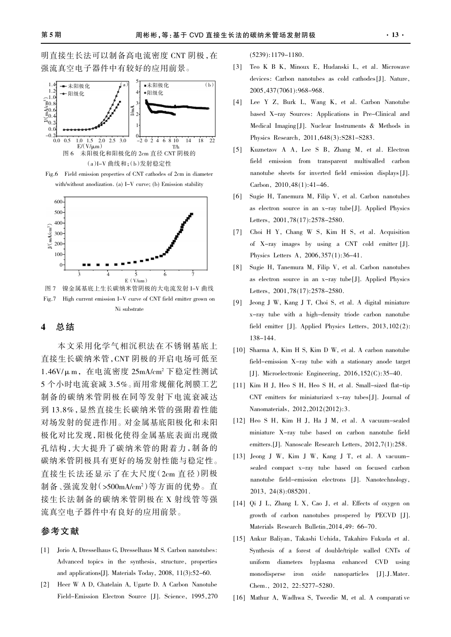明直接生长法可以制备高电流密度 CNT 阴极,在 强流真空电子器件中有较好的应用前景。



Fig.6 Field emission properties of CNT cathodes of 2cm in diameter with/without anodization. (a) I-V curve; (b) Emission stability



图 7 镍金属基底上生长碳纳米管阴极的大电流发射 I-V 曲线 Fig.7 High current emission I-V curve of CNT field emitter grown on Ni substrate

# 4 总结

本文采用化学气相沉积法在不锈钢基底上 直接生长碳纳米管,CNT 阴极的开启电场可低至 1.46V/μm,在电流密度 25mA/cm2 下稳定性测试 5 个小时电流衰减 3.5%。而用常规催化剂膜工艺 制备的碳纳米管阴极在同等发射下电流衰减达 到 13.8%,显然直接生长碳纳米管的强附着性能 对场发射的促进作用。对金属基底阳极化和未阳 极化对比发现,阳极化使得金属基底表面出现微 孔结构,大大提升了碳纳米管的附着力,制备的 碳纳米管阴极具有更好的场发射性能与稳定性。 直接生长法还显示了在大尺度(2cm 直径)阴极 制备、强流发射(>500mA/cm²)等方面的优势。直 接生长法制备的碳纳米管阴极在 X 射线管等强 流真空电子器件中有良好的应用前景。

# 参考文献

- [1] Jorio A, Dresselhaus G, Dresselhaus M S. Carbon nanotubes: Advanced topics in the synthesis, structure, properties and applications[J]. Materials Today, 2008, 11(3):52-60.
- [2] Heer W A D, Chatelain A, Ugarte D. A Carbon Nanotube Field-Emission Electron Source [J]. Science, 1995,270

(5239):1179-1180.

- [3] Teo K B K, Minoux E, Hudanski L, et al. Microwave devices: Carbon nanotubes as cold cathodes [J]. Nature, 2005,437(7061):968-968.
- [4] Lee Y Z, Burk L, Wang K, et al. Carbon Nanotube based X-ray Sources: Applications in Pre-Clinical and Medical Imaging [J]. Nuclear Instruments & Methods in Physics Research, 2011,648(3):S281-S283.
- [5] Kuznetzov A A, Lee S B, Zhang M, et al. Electron field emission from transparent multiwalled carbon nanotube sheets for inverted field emission displays [J]. Carbon, 2010,48(1):41-46.
- [6] Sugie H, Tanemura M, Filip V, et al. Carbon nanotubes as electron source in an x-ray tube[J]. Applied Physics Letters, 2001,78(17):2578-2580.
- [7] Choi H Y, Chang W S, Kim H S, et al. Acquisition of X-ray images by using a CNT cold emitter [J]. Physics Letters A, 2006,357(1):36-41.
- [8] Sugie H, Tanemura M, Filip V, et al. Carbon nanotubes as electron source in an x-ray tube[J]. Applied Physics Letters, 2001,78(17):2578-2580.
- [9] Jeong J W, Kang J T, Choi S, et al. A digital miniature x-ray tube with a high-density triode carbon nanotube field emitter [J]. Applied Physics Letters, 2013,102(2): 138-144.
- [10] Sharma A, Kim H S, Kim D W, et al. A carbon nanotube field-emission X-ray tube with a stationary anode target [J]. Microelectronic Engineering, 2016, 152(C): 35-40.
- [11] Kim H J, Heo S H, Heo S H, et al. Small-sized flat-tip CNT emitters for miniaturized x-ray tubes[J]. Journal of Nanomaterials, 2012,2012(2012):3.
- [12] Heo S H, Kim H J, Ha J M, et al. A vacuum-sealed miniature X-ray tube based on carbon nanotube field emitters.[J]. Nanoscale Research Letters, 2012,7(1):258.
- [13] Jeong J W, Kim J W, Kang J T, et al. A vacuumsealed compact x-ray tube based on focused carbon nanotube field-emission electrons [J]. Nanotechnology, 2013, 24(8):085201.
- [14] Qi J L, Zhang L X, Cao J, et al. Effects of oxygen on growth of carbon nanotubes prospered by PECVD [J]. Materials Research Bulletin,2014,49: 66-70.
- [15] Ankur Baliyan, Takashi Uchida, Takahiro Fukuda et al. Synthesis of a forest of double/triple walled CNTs of uniform diameters byplasma enhanced CVD using monodisperse iron oxide nanoparticles [J].J.Mater. Chem., 2012, 22:5277-5280.
- [16] Mathur A, Wadhwa S, Tweedie M, et al. A comparati ve